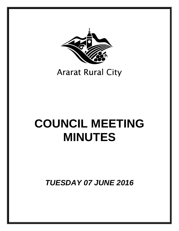

## **Ararat Rural City**

# **COUNCIL MEETING MINUTES**

*TUESDAY 07 JUNE 2016*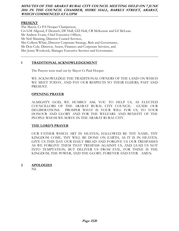## **MINUTES OF THE ARARAT RURAL CITY COUNCIL MEETING HELD ON 7 JUNE 2016 IN THE COUNCIL CHAMBER, SHIRE HALL, BARKLY STREET, ARARAT, WHICH COMMENCED AT 6.11PM**

## **PRESENT**

The Mayor, Cr PA Hooper Chairperson, Crs GM Allgood, F Deutsch, DF Hull, GD Hull, CR McKenzie and GI McLean. Mr Andrew Evans, Chief Executive Officer, Mr Neil Manning, Director Council Services, Mrs Colleen White, Director Corporate Strategy, Risk and Governance, Mr Don Cole, Director, Assets, Finances and Corporate Services, and Mrs Jenny Woolcock, Manager Executive Services and Governance.

## **1 TRADITIONAL ACKNOWLEDGEMENT**

The Prayers were read out by Mayor Cr Paul Hooper.

WE ACKNOWLEDGE THE TRADITIONAL OWNERS OF THE LAND ON WHICH WE MEET TODAY, AND PAY OUR RESPECTS TO THEIR ELDERS, PAST AND PRESENT.

## **OPENING PRAYER**

 ALMIGHTY GOD, WE HUMBLY ASK YOU TO HELP US, AS ELECTED COUNCILLORS OF THE ARARAT RURAL CITY COUNCIL. GUIDE OUR DELIBERATIONS. PROSPER WHAT IS YOUR WILL FOR US, TO YOUR HONOUR AND GLORY AND FOR THE WELFARE AND BENEFIT OF THE PEOPLE WHOM WE SERVE IN THE ARARAT RURAL CITY.

#### **THE LORD'S PRAYER**

 OUR FATHER WHICH ART IN HEAVEN, HALLOWED BE THY NAME, THY KINGDOM COME, THY WILL BE DONE ON EARTH, AS IT IS IN HEAVEN. GIVE US THIS DAY OUR DAILY BREAD AND FORGIVE US OUR TRESPASSES AS WE FORGIVE THEM THAT TRESPASS AGAINST US, AND LEAD US NOT INTO TEMPTATION, BUT DELIVER US FROM EVIL, FOR THINE IS THE KINGDOM, THE POWER, AND THE GLORY, FOREVER AND EVER. AMEN.

#### **2 APOLOGIES**

Nil.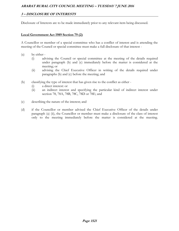## **3 – DISCLOSURE OF INTERESTS**

Disclosure of Interests are to be made immediately prior to any relevant item being discussed.

## **Local Government Act 1989 Section 79 (2)**

A Councillor or member of a special committee who has a conflict of interest and is attending the meeting of the Council or special committee must make a full disclosure of that interest -

- (a) by either
	- (i) advising the Council or special committee at the meeting of the details required under paragraph (b) and (c) immediately before the matter is considered at the meeting; or
	- (ii) advising the Chief Executive Officer in writing of the details required under paragraphs (b) and (c) before the meeting; and
- (b) classifying the type of interest that has given rise to the conflict as either
	- (i) a direct interest: or
	- (ii) an indirect interest and specifying the particular kind of indirect interest under section 78, 78A, 78B, 78C, 78D or 78E; and
- (c) describing the nature of the interest; and
- (d) if the Councillor or member advised the Chief Executive Officer of the details under paragraph (a) (ii), the Councillor or member must make a disclosure of the class of interest only to the meeting immediately before the matter is considered at the meeting.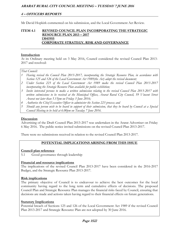## **4 – OFFICERS REPORTS**

Mr David Hopkirk commented on his submission, and the Local Government Act Review.

## **ITEM 4.1 REVISED COUNCIL PLAN INCORPORATING THE STRATEGIC RESOURCE PLAN 2013 – 2017 13041955 CORPORATE STRATEGY, RISK AND GOVERNANCE**

## **Introduction**

At its Ordinary meeting held on 3 May 2016, Council considered the revised Council Plan 2013- 2017 and resolved:

## *That Council:*

- *1 Having revised the Council Plan 2013-2017, incorporating the Strategic Resource Plan, in accordance with Section 125 and 126 of the Local Government Act 1989(the Act) adopt the revised document;*
- *2 Under Section 223 of the Local Government Act 1989 make the revised Council Plan 2013-2017 incorporating the Strategic Resource Plan available for public exhibition;*
- *3 Invite interested persons to make a written submission relating to the revised Council Plan 2013-2017 with written submissions to be received at the Municipal Offices, Ararat Rural City Council, 59 Vincent Street Ararat not later than 5.15pm on Friday 3 June 2016;*
- *4 Authorise the Chief Executive Officer to administer the Section 223 process; and*
- *5 Should any person wish to be heard in support of their submission, that they be heard by Council at a Special Council Meeting to be held at 6.00pm on Tuesday 7 June 2016.*

## **Discussion**

Advertising of the Draft Council Plan 2013-2017 was undertaken in the Ararat Advertiser on Friday 6 May 2016. The public notice invited submissions on the revised Council Plan 2013-2017.

There were no submissions received in relation to the revised Council Plan 2013-2017.

## **POTENTIAL IMPLICATIONS ARISING FROM THIS ISSUE**

## **Council plan reference**

5.1 Good governance through leadership

## **Financial and resource implications**

The implications of the revised Council Plan 2013-2017 have been considered in the 2016-2017 Budget, and the Strategic Resource Plan 2013-2017.

## **Risk implications**

The primary objective of Council is to endeavour to achieve the best outcomes for the local community having regard to the long term and cumulative effects of decisions. The proposed Council Plan and Strategic Resource Plan manages the financial risks faced by Council, ensuring that decisions are made and actions taken having regard to their financial effects on future generations.

## **Statutory Implications**

Potential breach of Sections 125 and 126 of the Local Government Act 1989 if the revised Council Plan 2013-2017 and Strategic Resource Plan are not adopted by 30 June 2016.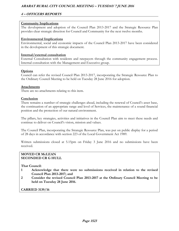## **4 – OFFICERS REPORTS**

## **Community Implications**

The development and adoption of the Council Plan 2013-2017 and the Strategic Resource Plan provides clear strategic direction for Council and Community for the next twelve months.

## **Environmental Implications**

Environmental, social and economic impacts of the Council Plan 2013-2017 have been considered in the development of this strategic document.

## **Internal/external consultation**

External Consultation with residents and ratepayers through the community engagement process. Internal consultation with the Management and Executive group.

## **Options**

Council can refer the revised Council Plan 2013-2017, incorporating the Strategic Resource Plan to the Ordinary Council Meeting to be held on Tuesday 28 June 2016 for adoption.

## **Attachments**

There are no attachments relating to this item.

## **Conclusion**

There remains a number of strategic challenges ahead, including the renewal of Council's asset base, the continuation of an appropriate range and level of Services, the maintenance of a sound financial position and the protection of our natural environment.

The pillars, key strategies, activities and initiatives in the Council Plan aim to meet these needs and continue to deliver on Council's vision, mission and values.

The Council Plan, incorporating the Strategic Resource Plan, was put on public display for a period of 28 days in accordance with section 223 of the Local Government Act 1989.

Written submissions closed at 5.15pm on Friday 3 June 2016 and no submissions have been received.

#### **MOVED CR McLEAN SECONDED CR G HULL**

**That Council:** 

- **1 Acknowledge that there were no submissions received in relation to the revised Council Plan 2013-2017; and**
- **2 Consider the revised Council Plan 2013-2017 at the Ordinary Council Meeting to be held on Tuesday 28 June 2016.**

**CARRIED 3139/16**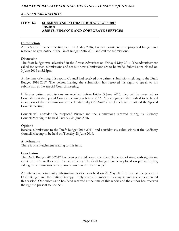## **ITEM 4.2 SUBMISSIONS TO DRAFT BUDGET 2016-2017 16073040 ASSETS, FINANCE AND CORPORATE SERVICES**

#### **Introduction**

At its Special Council meeting held on 3 May 2016, Council considered the proposed budget and resolved to give notice of the Draft Budget 2016-2017 and call for submissions.

#### **Discussion**

The draft budget was advertised in the Ararat Advertiser on Friday 6 May 2016. The advertisement called for written submissions and set out how submissions are to be made. Submissions closed on 3 June 2016 at 5.15pm.

At the time of writing this report, Council had received one written submissions relating to the Draft Budget 2016-2017. The person making the submission has reserved his right to speak to his submission at the Special Council meeting.

If further written submissions are received before Friday 3 June 2016, they will be presented to Councillors at the Special Council meeting on 6 June 2016. Any ratepayers who wished to be heard in support of their submission on the Draft Budget 2016-2017 will be advised to attend the Special Council meeting.

Council will consider the proposed Budget and the submissions received during its Ordinary Council Meeting to be held Tuesday 28 June 2016.

#### **Options**

Receive submissions to the Draft Budget 2016-2017 and consider any submissions at the Ordinary Council Meeting to be held on Tuesday 28 June 2016.

#### **Attachments**

There is one attachment relating to this item.

#### **Conclusion**

The Draft Budget 2016-2017 has been prepared over a considerable period of time, with significant input from Councillors and Council officers. The draft budget has been placed on public display, calling for submissions on any issues raised in the draft budget.

An interactive community information session was held on 23 May 2016 to discuss the proposed Draft Budget and the Rating Strategy. Only a small number of ratepayers and residents attended this session. One submission has been received at the time of this report and the author has reserved the right to present to Council.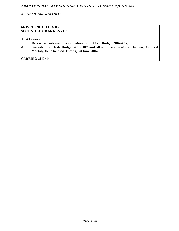## **MOVED CR ALLGOOD SECONDED CR McKENZIE**

**That Council:** 

- **1 Receive all submissions in relation to the Draft Budget 2016-2017;**
- **2 Consider the Draft Budget 2016-2017 and all submissions at the Ordinary Council Meeting to be held on Tuesday 28 June 2016.**

**CARRIED 3140/16**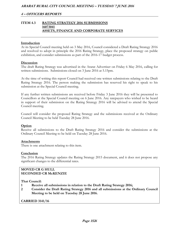## **ITEM 4.3 RATING STRATEGY 2016 SUBMISSIONS 16073041 ASSETS, FINANCE AND CORPORATE SERVICES**

#### **Introduction**

At its Special Council meeting held on 3 May 2016, Council considered a Draft Rating Strategy 2016 and resolved to adopt in principle the 2016 Rating Strategy, place the proposed strategy on public exhibition, and consider submissions as part of the 2016-17 budget process.

#### **Discussion**

The draft Rating Strategy was advertised in the Ararat Advertiser on Friday 6 May 2016, calling for written submissions. Submissions closed on 3 June 2016 at 5.15pm.

At the time of writing this report Council had received one written submissions relating to the Draft Rating Strategy 2016. The person making the submission has reserved his right to speak to his submission at the Special Council meeting.

If any further written submissions are received before Friday 3 June 2016 they will be presented to Councillors at the Special Council meeting on 6 June 2016. Any ratepayers who wished to be heard in support of their submission on the Rating Strategy 2016 will be advised to attend the Special Council meeting.

Council will consider the proposed Rating Strategy and the submissions received at the Ordinary Council Meeting to be held Tuesday 28 June 2016.

#### **Option**

Receive all submissions to the Draft Rating Strategy 2016 and consider the submissions at the Ordinary Council Meeting to be held on Tuesday 28 June 2016.

#### **Attachments**

There is one attachment relating to this item.

#### **Conclusion**

The 2016 Rating Strategy updates the Rating Strategy 2015 document, and it does not propose any significant changes to the differential rates.

## **MOVED CR G HULL SECONDED CR McKENZIE**

**That Council:** 

- **1 Receive all submissions in relation to the Draft Rating Strategy 2016;**
- **2 Consider the Draft Rating Strategy 2016 and all submissions at the Ordinary Council Meeting to be held on Tuesday 28 June 2016.**

**CARRIED 3141/16**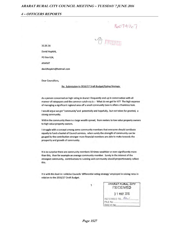#### **4 – OFFICERS REPORTS**

 $16074167$ 

O INTERN

31.05.16

David Hopkirk,

PO Box 624,

**ARARAT** 

davidhopkirk@hotmail.com

Dear Councillors,

Re: Submission to 2016/17 Draft Budget/Rating Strategy.

As a person concerned on high rating in Ararat I frequently end up in conversation with all manner of ratepayers and the common catch-cry is :- What do we get for it?? The high expense of managing a significant regional area off a small community base is often a thankless task.

I would argue we get "community" and potentially and hopefully, but not taken for granted, a strong community.

Within the community there is a large wealth spread, from renters to low value property owners to high value property owners.

I struggle with a concept among some community members that everyone should contibute equally to fund a basket of Council services, when surely the strength of community can be gauged by the contribution stronger more financial members are able to make towards the prosperity and growth of community.

It is no surprise there are community members 10 times wealthier or even significantly more than this, than for example an average community member. Surely in the interest of the strongest community, contributions to running said community should proportionately reflect this.

It is with this lead-in I criticise Councils 'differential rating strategy' employed in raising rates in relation to the 2016/17 Draft Budget.



| ARARAT RURAL CITY<br>RECEIVED |
|-------------------------------|
| 3 1 MAY 2016                  |
| REFERRED TO ALL               |
| FILE No.                      |
| DOC ID No.                    |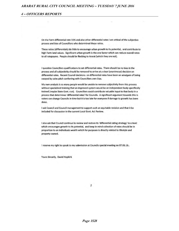On the Farm differential rate 55% and also other differential rates I am critical of the subjective process and bias of Councillors who determined these ratios.

These ratios (differentials) do little to encourage urban growth to its potential, and contribute to high Farm land values. Significant urban growth is the one factor which can reduce overall rates to all ratepayers. People should be flocking to Ararat (which they are not).

I question Councillors qualifications to set differential rates. There should be no bias in the process and all subjectivity should be removed to arrive at a clear (unanimous) decision on differential rates. Recent Council decisions on differential rates have been an amalgam of being swayed by sales pitch conferring with Councillors own bias.

My own analysis is so many people would be unable to remove subjectivity from this process without specialized training that an improved system would be an independent body specifically trained (maybe State Govt. run). Councillors could contribute valuable input to that body in a process that determines 'differential rates' for Councils. A significant argument towards this is voters can change Councils in time but it is too late for everyone if damage to growth has been done.

I ask Council and Council management to support such an equitable revision and that it be included for discussion in the current Local Govt. Act Review.

I also ask that Council continue to review and restore its 'differential rating strategy' to a level which encourages growth to its potential, and keep in mind collection of rates should be in proportion to an individuals wealth which for purposes is directly related to lifestyle and property owned.

I reserve my right to speak to my submission at Councils special meeting on 07.06.16..

Yours Sincerly, David Hopkirk

 $\overline{2}$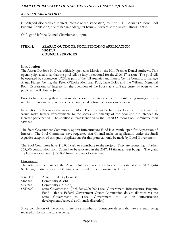## **4 – OFFICERS REPORTS**

Cr Allgood disclosed an indirect interest (close association) to Item 4.4 – Ararat Outdoor Pool Funding Application, due to her granddaughter being a lifeguard at the Ararat Fitness Centre.

Cr Allgood left the Council Chamber at 6.16pm.

## **ITEM 4.4 ARARAT OUTDOOR POOL FUNDING APPLICATION 16074209 COUNCIL SERVICES**

## **Introduction**

The Ararat Outdoor Pool was officially opened in March by the Hon Premier Daniel Andrews. This opening signalled to all that the pool will be fully operational for the 2016/17 season. The pool will be operated by contractors UCSL as part of the full Aquatics and Fitness Centre Contract to manage Ararat Fitness Centre, the Peter O'Rorke Memorial Pool, Lake Bolac and the Willaura Memorial Pool. Expressions of Interest for the operation of the Kiosk as a café are currently open to the public and will close in June.

Prior to fully opening there are some defects in the contract work that is still being managed and a number of building requirements to be completed before the doors can be open.

In addition to this work the Ararat Outdoor Pool Committee have developed a list of items that would make further improvements to the access and amenity of the pool and are intended to increase participation. The additional items identified by the Ararat Outdoor Pool Committee total \$195,000.

The State Government Community Sports Infrastructure Fund is currently open for Expression of Interest. The Pool Committee have requested that Council make an application under the Small Aquatics category of this grant. Applications for this grant can only be made by Local Government.

The Pool Committee have \$10,000 cash to contribute to the project. They are requesting a further \$55,000 contribution from Council to be allocated in the 2017/18 financial year budget. The grant application would seek \$135,000 from the State Government.

#### **Discussion**

The total cost to date of the Ararat Outdoor Pool redevelopment is estimated at \$1,737,444 (including In-kind works). This sum is comprised of the following breakdown;

\$165,000 Community (Cash)

\$450,000 Community (In-Kind)

\$550,000 State Government (Includes \$200,000 Local Government Infrastructure Program Fund – this is Federal Government Grants Commission dollars allocated via the State Government to Local Government to use on infrastructure developments/renewal at Councils discretion)

Since completion of the project there are a number of contractor defects that are currently being repaired at the contractor's expense.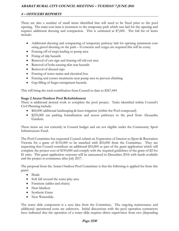There are also a number of small items identified that will need to be fixed prior to the pool opening. The main cost item is treatment to the temporary path which was laid for the opening and requires additional dressing and compaction. This is estimated at \$7,000. The full list of items include:

- Additional dressing and compacting of temporary pathway laid for opening (minimum cost using gravel dressing on the path – if concrete and verges are required this will be extra)
- Fencing off of steps leading to pump area
- Fixing of trip hazards
- Removal of exit sign and fencing off old exit area
- Removal of bolts causing skin tear hazards
- Removal of disused taps
- Fencing of water mains and electrical box
- Fencing and corner treatments near pump area to prevent climbing
- Gap filling of finger entrapment hazards.

This will bring the total contribution from Council to date to \$567,444

## **Stage 2 Ararat Outdoor Pool Refurbishment**

There is additional desired work to complete the pool project. Tasks identified within Council's Civil Planning include:

- \$60,000 additional landscaping & lawn irrigation (within the Pool compound)
- \$235,000 car parking formalisation and access pathways to the pool from Alexandra Gardens.

These items are not currently in Council budget and are not eligible under the Community Sport Infrastructure Fund.

The Pool Committee has requested Council submit an Expression of Interest to Sport & Recreation Victoria for a grant of \$135,000 to be matched with \$10,000 from the Committee. They are requesting that Council contribute an additional \$55,000 as part of the grant application which will complete the project cost of \$195,000 and comply with the required guidelines of the grant of \$2 for \$1 ratio. This grant application outcome will be announced in December 2016 with funds available and the project to commence after July 2017.

The proposal from the Ararat Outdoor Pool Committee is that the following is applied for from this grant:

- Shade
- Soft fall around the water play area
- Furniture (tables and chairs)
- Heat blankets
- Synthetic Grass
- New Waterslide.

The water slide component is a new idea from the Committee. The ongoing maintenance and additional operational costs are unknown. Initial discussions with the pool operation contractors have indicated that the operation of a water slide requires direct supervision from two (depending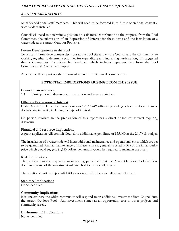on slide) additional staff members. This will need to be factored in to future operational costs if a water slide is installed.

Council will need to determine a position on a financial contribution to the proposal from the Pool Committee, the submission of an Expression of Interest for these items and the installation of a water slide at the Ararat Outdoor Pool site.

## **Future Developments at the Pool**

To assist in future development decisions at the pool site and ensure Council and the community are working together to determine priorities for expenditure and increasing participation, it is suggested that a Community Committee be developed which includes representatives from the Pool Committee and Council employees.

Attached to this report is a draft terms of reference for Council consideration.

## **POTENTIAL IMPLICATIONS ARISING FROM THIS ISSUE**

#### **Council plan reference**

1.4 Participation in diverse sport, recreation and leisure activities.

## **Officer's Declaration of Interest**

Under Section 80C of the *Local Government Act 1989* officers providing advice to Council must disclose any interests, including the type of interest.

No person involved in the preparation of this report has a direct or indirect interest requiring disclosure.

#### **Financial and resource implications**

A grant application will commit Council to additional expenditure of \$55,000 in the 2017/18 budget.

The installation of a water slide will incur additional maintenance and operational costs which are yet to be quantified. Annual maintenance of infrastructure is generally costed at 5% of the initial outlay price which would suggest \$1,750 dollars per annum would be required to maintain the asset.

## **Risk implications**

The proposed works may assist in increasing participation at the Ararat Outdoor Pool therefore decreasing some of the investment risk attached to the overall project.

The additional costs and potential risks associated with the water slide are unknown.

#### **Statutory Implications**

None identified.

#### **Community Implications**

It is unclear how the wider community will respond to an additional investment from Council into the Ararat Outdoor Pool. Any investment comes at an opportunity cost to other projects and community assets.

## **Environmental Implications**

None identified.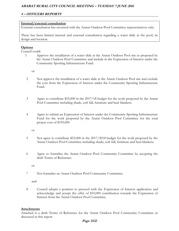## **4 – OFFICERS REPORTS**

## **Internal/external consultation**

External consultation has occurred with the Ararat Outdoor Pool Committee representatives only.

There has been limited internal and external consultation regarding a water slide at the pool, its design and location.

## **Options**

Council could:

1 Approve the installation of a water slide at the Ararat Outdoor Pool site as proposed by the Ararat Outdoor Pool Committee and include in the Expression of Interest under the Community Sporting Infrastructure Fund.

or

- 2 Not approve the installation of a water slide at the Ararat Outdoor Pool site and exclude the cost from the Expression of Interest under the Community Sporting Infrastructure Fund.
- 3 Agree to contribute \$55,000 in the 2017/18 budget for the work proposed by the Ararat Pool Committee including shade, soft fall, furniture and heat blankets.
- 4 Agree to submit an Expression of Interest under the Community Sporting Infrastructure Fund for the work proposed by the Ararat Outdoor Pool Committee for the total project cost of \$195,000

or

- 5 Not agree to contribute \$55,000 in the 2017/2018 budget for the work proposed by the Ararat Outdoor Pool Committee including shade, soft fall, furniture and heat blankets.
- 6 Agree to formalise the Ararat Outdoor Pool Community Committee by accepting the draft Terms of Reference.

or

7 Not formalise an Ararat Outdoor Pool Community Committee.

and

8 Council adopts a position to proceed with the Expression of Interest application and acknowledge and accept the offer of \$10,000 contribution towards the Expression of Interest from the Ararat Outdoor Pool Committee.

## **Attachments**

Attached is a draft Terms of Reference for the Ararat Outdoor Pool Community Committee as discussed in this report.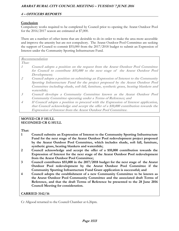## **Conclusion**

Compulsory works required to be completed by Council prior to opening the Ararat Outdoor Pool for the 2016/2017 season are estimated at \$7,000.

There are a number of other items that are desirable to do in order to make the area more accessible and improve the amenity but are not compulsory. The Ararat Outdoor Pool Committee are seeking the support of Council to commit \$55,000 from the 2017/2018 budget to submit an Expression of Interest under the Community Sporting Infrastructure Fund.

## **Recommendation**

**That:** 

- **1 Council adopts a position on the request from the Ararat Outdoor Pool Committee for Council to contribute \$55,000 to the next stage of the Ararat Outdoor Pool Development;**
- **2 Council adopts a position on submitting an Expression of Interest to the Community Sporting Infrastructure Fund for the project proposed by the Ararat Outdoor Pool Committee including shade, soft fall, furniture, synthetic grass, heating blankets and waterslide;**
- **3 Council develops a Community Committee known as the Ararat Outdoor Pool Community Committee operating under a Terms of Reference; and**
- **4 If Council adopts a position to proceed with the Expression of Interest application, that Council acknowledge and accept the offer of a \$10,000 contribution towards the Expression of Interest from the Ararat Outdoor Pool Committee.**

## **MOVED CR F HULL SECONDED CR G HULL**

**That:** 

- **1 Council submits an Expression of Interest to the Community Sporting Infrastructure Fund for the next stage of the Ararat Outdoor Pool redevelopment project proposed by the Ararat Outdoor Pool Committee, which includes shade, soft fall, furniture, synthetic grass, heating blankets and waterslide;**
- **2 Council acknowledge and accept the offer of a \$10,000 contribution towards the Expression of Interest for the next stage of the Ararat Outdoor Pool redevelopment from the Ararat Outdoor Pool Committee;**
- **3 Council contributes \$55,000 in the 2017/2018 budget for the next stage of the Ararat Outdoor Pool redevelopment by the Ararat Outdoor Pool Committee if the Community Sporting Infrastructure Fund Grant application is successful; and**
- **4 Council adopts the establishment of a new Community Committee to be known as the Ararat Outdoor Pool Community Committee and the associated draft Terms of Reference, and that the draft Terms of Reference be presented to the 28 June 2016 Council Meeting for consideration.**

## **CARRIED 3142/16**

Cr Allgood returned to the Council Chamber at 6.26pm.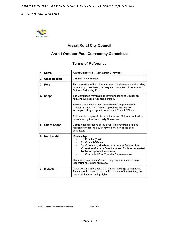

## **Ararat Rural City Council**

## **Ararat Outdoor Pool Community Committee**

## **Terms of Reference**

| 1. Name           | <b>Ararat Outdoor Pool Community Committee</b>                                                                                                                                                                                                                                                                                                                                           |
|-------------------|------------------------------------------------------------------------------------------------------------------------------------------------------------------------------------------------------------------------------------------------------------------------------------------------------------------------------------------------------------------------------------------|
| 2. Classification | <b>Community Committee</b>                                                                                                                                                                                                                                                                                                                                                               |
| 3. Role           | The committee will provide advice on the development (including<br>community consultation, delivery and promotion of the Ararat<br>Outdoor Swimming Pool.                                                                                                                                                                                                                                |
| 4. Scope          | The Committee may make recommendations to Council on<br>relevant business presented before it.<br>Recommendations of the Committee will be presented to<br>Council in written form when appropriate and will be<br>accompanied by a report from relevant Council Officers.<br>All future development plans for the Ararat Outdoor Pool will be<br>considered by the Community Committee. |
| 5. Out of Scope   | Contractual operations of the pool. This committee has no<br>responsibility for the day to day supervision of the pool<br>contractor.                                                                                                                                                                                                                                                    |
| 6. Membership     | Membership:<br>1 x Director (Chair)<br>2 x Council Officers<br>3 x Community Members of the Ararat Outdoor Pool<br>Committee (formally Save the Ararat Pool) as nominated<br>by the incorporated association.<br>1 x Contracted Pool Operator Representative<br>Community members: A Community member may not be a<br>Councillor or Council employee.                                    |
| 7. Invitees       | Other persons may attend Committee meetings by invitation.<br>These people may take part in discussions of the meeting, but<br>they shall have no voting rights.                                                                                                                                                                                                                         |

Page 1 of 3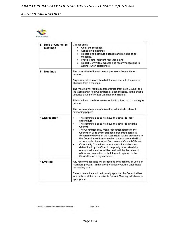

| 8. Role of Council in<br><b>Meetings</b> | Council shall:<br>Chair the meetings<br>Scheduling meetings<br>۰<br>• Record and distribute agendas and minutes of all<br>meetings,<br>Provide other relevant resources, and<br>Report Committee minutes and recommendations to<br>Council when appropriate                                                                                                                                                                                                                                                                                                                                                                                                                                |
|------------------------------------------|--------------------------------------------------------------------------------------------------------------------------------------------------------------------------------------------------------------------------------------------------------------------------------------------------------------------------------------------------------------------------------------------------------------------------------------------------------------------------------------------------------------------------------------------------------------------------------------------------------------------------------------------------------------------------------------------|
| 9. Meetings                              | The committee will meet quarterly or more frequently as<br>required.<br>A quorum will be more than half the members. In the chair's<br>absence from a meeting,<br>The meeting will require representation from both Council and<br>the Community Pool Committee at each meeting. In the chair's<br>absence a Council officer will chair the meeting.<br>All committee members are expected to attend each meeting in<br>person.<br>The notice and agenda of a meeting will include relevant<br>supporting papers.                                                                                                                                                                          |
| 10.Delegation                            | The committee does not have the power to incur<br>expenditure.<br>The committee does not have the power to bind the<br>Council.<br>The Committee may make recommendations to the<br>Council on all relevant business presented before it.<br>Recommendations of the Committee will be presented to<br>the Council in written form when appropriate and will be<br>accompanied by a report from relevant Council Officers.<br>Community Committee recommendations which are<br>determined by the Chair to be purely or substantially<br>operational in nature will be dealt with by the relevant<br>officer and any action or lack thereof reported to the<br>Committee on a regular basis. |
| 11.Voting                                | Any recommendations will be decided by a majority of votes of<br>members present. In the event of a tied vote, the Chair holds<br>the casting vote.<br>Recommendations will be formally approved by Council either<br>internally or at the next available Council Meeting, whichever is<br>appropriate.                                                                                                                                                                                                                                                                                                                                                                                    |

Ararat Outdoor Pool Community Committee

Page 2 of 3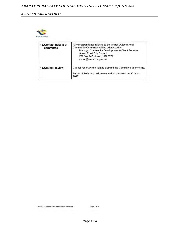

| 12. Contact details of<br>committee | All correspondence relating to the Ararat Outdoor Pool<br>Community Committee will be addressed to:<br>Manager Community Development & Client Services<br><b>Ararat Rural City Council</b><br>PO Box 246, Ararat, VIC 3377<br>ahunt@ararat.vic.gov.au |
|-------------------------------------|-------------------------------------------------------------------------------------------------------------------------------------------------------------------------------------------------------------------------------------------------------|
| <b>13. Council review</b>           | Council reserves the right to disband the Committee at any time.                                                                                                                                                                                      |
|                                     | Terms of Reference will cease and be reviewed on 30 June<br>2017.                                                                                                                                                                                     |

Page 3 of  $3\,$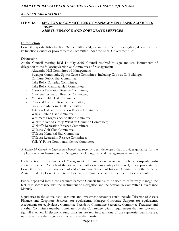## **ITEM 4.5 SECTION 86 COMMITTEES OF MANAGEMENT BANK ACCOUNTS 16073961 ASSETS, FINANCE AND CORPORATE SERVICES**

#### **Introduction**

Council may establish a Section 86 Committee and, via an instrument of delegation, delegate any of its functions, duties or powers to that Committee under the Local Government Act.

## **Discussion**

At the Council meeting held 17 May 2016, Council resolved to sign and seal instruments of delegation to the following Section 86 Committees of Management:

- Alexandra Hall Committee of Management;
- Buangor Community Sports Centre Committee (Including Cobb & Co Building);
- Elmhurst Public Hall Committee;
- Lake Bolac Complex Committee;
- Lake Bolac Memorial Hall Committee;
- Maroona Recreation Reserve Committee;
- Mininera Recreation Reserve Committee;
- Moyston Public Hall Committee;
- Pomonal Hall and Reserve Committee;
- Streatham Memorial Hall Committee;
- Tatyoon Hall and Recreation Reserve Committee;
- Warrak Public Hall Committee;
- Westmere Progress Association Committee;
- Wickliffe Action Group Wickliffe Common Committee;
- Wickliffe Recreation Reserve Committee;
- Willaura Golf Club Committee;
- Willaura Memorial Hall Committee;
- Willaura Recreation Reserve Committee;
- Yalla-Y-Poora Community Centre Committee

A *Section 86 Committee Governance Manual* has recently been developed that provides guidance for the application of an Instrument of Delegation, including financial management requirements.

Each Section 86 Committee of Management (Committee) is considered to be a non-profit, subentity of Council. As each of the above Committees is a sub entity of Council, it is appropriate for Council to establish a bank account and an investment account for each Committee in the name of Ararat Rural City Council, and to include each Committee's name in the title of these accounts.

Funds deposited into these accounts become Council funds, to be used to effectively manage the facility in accordance with the Instrument of Delegation and the Section 86 Committee Governance Manual.

Signatories to the above bank accounts and investment accounts could include: Director of Assets Finance and Corporate Services, (or equivalent), Manager Corporate Support (or equivalent), Accountant (or equivalent), Committee President, Committee Secretary, Committee Treasurer and another Committee member nominated by the Committee, with a requirement that any two must sign all cheques. If electronic fund transfers are required, any one of the signatories can initiate a transfer and another signatory must approve the transfer.

#### **Page 1537**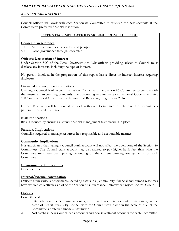## **4 – OFFICERS REPORTS**

Council officers will work with each Section 86 Committee to establish the new accounts at the Committee's preferred financial institution.

## **POTENTIAL IMPLICATIONS ARISING FROM THIS ISSUE**

## **Council plan reference**

- 1.1 Assist communities to develop and prosper
- 5.1 Good governance through leadership

## **Officer's Declaration of Interest**

Under Section 80C of the *Local Government Act 1989* officers providing advice to Council must disclose any interests, including the type of interest.

No person involved in the preparation of this report has a direct or indirect interest requiring disclosure.

## **Financial and resource implications**

Creating a Council bank account will allow Council and the Section 86 Committee to comply with the Australian Accounting Standards, the accounting requirements of the Local Government Act 1989 and the Local Government (Planning and Reporting) Regulations 2014.

Human Resources will be required to work with each Committee to determine the Committee's preferred financial institution.

## **Risk implications**

Risk is reduced by ensuring a sound financial management framework is in place.

#### **Statutory Implications**

Council is required to manage resources in a responsible and accountable manner.

## **Community Implications**

It is anticipated that having a Council bank account will not affect the operations of the Section 86 Committees. The Council bank account may be required to pay higher bank fees than what the Committee may have been paying, depending on the current banking arrangements for each Committee.

## **Environmental Implications**

None identified.

## **Internal/external consultation**

Officers from various departments including assets, risk, community, financial and human resources have worked collectively as part of the Section 86 Governance Framework Project Control Group.

## **Options**

Council could:

- 1 Establish new Council bank accounts, and new investment accounts if necessary, in the name of Ararat Rural City Council with the Committee's name in the account title, at the Committee's preferred financial institution.
- 2 Not establish new Council bank accounts and new investment accounts for each Committee.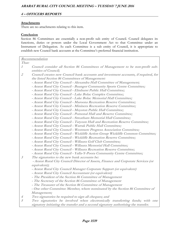## **Attachments**

There are no attachments relating to this item.

## **Conclusion**

Section 86 Committees are essentially a non-profit sub entity of Council. Council delegates its functions, duties or powers under the Local Government Act to that Committee under an Instrument of Delegation. As each Committee is a sub entity of Council, it is appropriate to establish new Council bank accounts at the Committee's preferred financial institution.

|                | Recommendation                                                                                         |
|----------------|--------------------------------------------------------------------------------------------------------|
| That:          |                                                                                                        |
| $\mathcal{I}$  | Council consider all Section 86 Committees of Management to be non-profit sub-<br>entities of Council; |
| 2              | Council creates new Council bank accounts and investment accounts, if required, for                    |
|                | the listed Section 86 Committees of Management:                                                        |
|                | - Ararat Rural City Council - Alexandra Hall Committee of Management;                                  |
|                | - Ararat Rural City Council - Buangor Community Sports Centre Committee;                               |
|                | - Ararat Rural City Council - Elmhurst Public Hall Committee;                                          |
|                | - Ararat Rural City Council - Lake Bolac Complex Committee;                                            |
|                | - Ararat Rural City Council - Lake Bolac Memorial Hall Committee;                                      |
|                | - Ararat Rural City Council - Maroona Recreation Reserve Committee;                                    |
|                | - Ararat Rural City Council - Mininera Recreation Reserve Committee;                                   |
|                | - Ararat Rural City Council - Moyston Public Hall Committee;                                           |
|                | - Ararat Rural City Council - Pomonal Hall and Reserve Committee;                                      |
|                | - Ararat Rural City Council - Streatham Memorial Hall Committee;                                       |
|                | - Ararat Rural City Council - Tatyoon Hall and Recreation Reserve Committee;                           |
|                | - Ararat Rural City Council - Warrak Public Hall Committee;                                            |
|                | - Ararat Rural City Council - Westmere Progress Association Committee;                                 |
|                | - Ararat Rural City Council - Wickliffe Action Group Wickliffe Common Committee;                       |
|                | - Ararat Rural City Council - Wickliffe Recreation Reserve Committee;                                  |
|                | - Ararat Rural City Council - Willaura Golf Club Committee;                                            |
|                | - Ararat Rural City Council - Willaura Memorial Hall Committee;                                        |
|                | - Ararat Rural City Council - Willaura Recreation Reserve Committee;                                   |
|                | - Ararat Rural City Council - Yalla-Y-Poora Community Centre Committee;                                |
| $\mathfrak{Z}$ | The signatories to the new bank accounts be:                                                           |
|                | - Ararat Rural City Council Director of Assets, Finance and Corporate Services (or<br>equivalent);     |
|                | - Ararat Rural City Council Manager Corporate Support (or equivalent)                                  |
|                | - Ararat Rural City Council Accountant (or equivalent)                                                 |
|                | - The President of the Section 86 Committee of Management                                              |
|                | - The Secretary of the Section 86 Committee of Management                                              |
|                | - The Treasurer of the Section 86 Committee of Management                                              |
|                | - One other Committee Member, where nominated by the Section 86 Committee of                           |
|                | Management;                                                                                            |
| 4              | Two signatories be required to sign all cheques; and                                                   |
| 5              | Two signatories be involved when electronically transferring funds; with one                           |
|                | signatory initiating the transfer and a second signatory authorising the transfer.                     |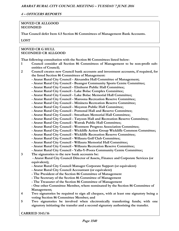## **MOVED CR ALLGOOD SECONDED**

**That Council defer Item 4.5 Section 86 Committees of Management Bank Accounts.** 

## **LOST**

## **MOVED CR G HULL SECONDED CR ALLGOOD**

**That following consultation with the Section 86 Committees listed below:** 

- **1 Council consider all Section 86 Committees of Management to be non-profit subentities of Council;**
- **2 Council creates new Council bank accounts and investment accounts, if required, for the listed Section 86 Committees of Management:** 
	- **Ararat Rural City Council Alexandra Hall Committee of Management;**
	- **Ararat Rural City Council Buangor Community Sports Centre Committee;**
	- **Ararat Rural City Council Elmhurst Public Hall Committee;**
	- **Ararat Rural City Council Lake Bolac Complex Committee;**
	- **Ararat Rural City Council Lake Bolac Memorial Hall Committee;**
	- **Ararat Rural City Council Maroona Recreation Reserve Committee;**
	- **Ararat Rural City Council Mininera Recreation Reserve Committee;**
	- **Ararat Rural City Council Moyston Public Hall Committee;**
	- **Ararat Rural City Council Pomonal Hall and Reserve Committee;**
	- **Ararat Rural City Council Streatham Memorial Hall Committee;**
	- **Ararat Rural City Council Tatyoon Hall and Recreation Reserve Committee;**
	- **Ararat Rural City Council Warrak Public Hall Committee;**
	- **Ararat Rural City Council Westmere Progress Association Committee;**
	- **Ararat Rural City Council Wickliffe Action Group Wickliffe Common Committee;**
	- **Ararat Rural City Council Wickliffe Recreation Reserve Committee;** 
		- **Ararat Rural City Council Willaura Golf Club Committee;**
		- **Ararat Rural City Council Willaura Memorial Hall Committee;**
	- **Ararat Rural City Council Willaura Recreation Reserve Committee;**
	- **Ararat Rural City Council Yalla-Y-Poora Community Centre Committee;**
- **3 The signatories to the new bank accounts be:**

 **- Ararat Rural City Council Director of Assets, Finance and Corporate Services (or equivalent);** 

- **Ararat Rural City Council Manager Corporate Support (or equivalent)**
- **Ararat Rural City Council Accountant (or equivalent)**
- **The President of the Section 86 Committee of Management**
- **The Secretary of the Section 86 Committee of Management**
- **The Treasurer of the Section 86 Committee of Management**
- **One other Committee Member, where nominated by the Section 86 Committee of Management;**
- **4 Two signatories be required to sign all cheques, with at least one signatory being a voting Section 86 Committee Member; and**
- **5 Two signatories be involved when electronically transferring funds; with one signatory initiating the transfer and a second signatory authorising the transfer.**

**CARRIED 3143/16**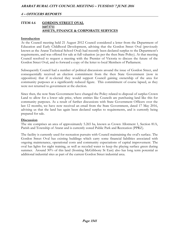## **ITEM 4.6 GORDON STREET OVAL 16073711 ASSETS, FINANCE & CORPORATE SERVICES**

#### **Introduction**

At the Council meeting held 21 August 2012 Council considered a letter from the Department of Education and Early Childhood Development, advising that the Gordon Street Oval (previously known as the Ararat Technical School Oval) had recently been declared surplus to the Department's requirements, and was offered for sale at full valuation (as per the then State Policy). At that meeting Council resolved to request a meeting with the Premier of Victoria to discuss the future of the Gordon Street Oval, and to forward a copy of the letter to local Members of Parliament.

Subsequently Council had a number of political discussions around the issue of Gordon Street, and consequentially received an election commitment from the then State Government (now in opposition) that if re-elected they would support Council gaining ownership of the area for community purposes at a significantly reduced figure. This commitment of course lapsed, as they were not returned to government at the election.

Since then, the now State Government have changed the Policy related to disposal of surplus Crown Land to allow for a lower sale price, where entities like Councils are purchasing land like this for community purposes. As a result of further discussions with State Government Officers over the last 12 months, we have now received an email from the State Government, dated 17 May 2016, advising us that the land has again been declared surplus to requirements, and is currently being prepared for sale.

#### **Discussion**

The site comprises an area of approximately 5.265 ha, known as Crown Allotment 1, Section 81A, Parish and Township of Ararat and is currently zoned Public Park and Recreation (PPRZ).

The facility is currently used for recreation pursuits with Council maintaining the oval's surface. The Gordon Street Oval has existing buildings which carry some financial liabilities associated with ongoing maintenance, operational costs and community expectations of capital improvement. The oval has lights for night training, as well as recycled water to keep the playing surface green during summer. Around 30% of this land (fronting McGibbony St East) also has long term potential as additional industrial sites as part of the current Gordon Street industrial area.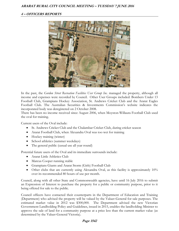## **4 – OFFICERS REPORTS**



In the past, the *Gordon Street Recreation Facilities User Group Inc.* managed the property, although all income and expenses were recorded by Council. Other User Groups included: Bombers Under 13 Football Club, Grampians Hockey Association, St. Andrews Cricket Club and the Ararat Eagles Football Club. The Australian Securities & Investments Commission's website indicates the incorporated body was deregistered on 2 October 2008.

There has been no income received since August 2006, when Moyston-Willaura Football Club used the oval for training.

Current users of the Oval include:

- St. Andrews Cricket Club and the Chalambar Cricket Club, during cricket season
- Ararat Football Club, when Alexandra Oval was too wet for training
- Hockey training (winter)
- School athletics (summer weekdays)
- The general public (casual use all year round)

Potential future users of the Oval and its immediate surrounds include:

- Ararat Little Athletics Club
- Marcus Cooper running stable
- Grampians Giants and Ararat Storm (Girls) Football Club
- Other clubs that are currently using Alexandra Oval, as this facility is approximately 10% over its recommended 80 hours of use per month.

Council, along with all other State and Commonwealth agencies, have until 16 July 2016 to submit an Expression of Interest to purchase the property for a public or community purpose, prior to it being offered for sale to the public.

Council officers have contacted their counterparts in the Department of Education and Training (Department) who advised the property will be valued by the Valuer-General for sale purposes. The estimated market value in 2012 was \$300,000. The Department advised the new Victorian Government Landholding Policy and Guidelines, issued in 2015, enables the landholding Minister to approve the sale of land for a community purpose at a price less than the current market value (as determined by the Valuer-General Victoria).

#### **Page 1542**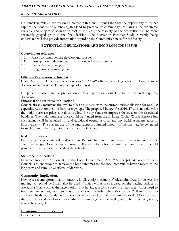If Council submits an expression of interest in this land, Council then has the opportunity to further explore the benefits of purchasing this land to preserve its community use. During the timeframe available and subject to acquisition cost of the land, the viability of the acquisition can be more accurately gauged prior to the final decision. The Recreation Facilities Study currently being undertaken will also provide information regarding the Community's need for the facility.

## **POTENTIAL IMPLICATIONS ARISING FROM THIS ISSUE**

## **Council plan reference**

- 1.1 Assist communities the develop and prosper
- 1.4 Participation in diverse sport, recreation and leisure activities
- 1.5 Ararat Active Strategy
- 4.5 Long term asset management

## **Officer's Declaration of Interest**

Under Section 80C of the *Local Government Act 1989* officers providing advice to Council must disclose any interests, including the type of interest.

No person involved in the preparation of this report has a direct or indirect interest requiring disclosure.

## **Financial and resource implications**

Council already maintains the oval to a basic standard, with the current budget allowing for \$15,000 expenditure, but no income from user groups. The proposed budget for 2016/17 does not allow for the initial purchase price, nor does it allow for any funds to improve the oval or the associated buildings. The initial purchase price could be funded from the Building Capital Works Reserve but cost savings will be required to fund additional operating costs and any building maintenance or improvements. The current use of the land suggests a limited amount of income may be generated from clubs and other organisations that use the facilities.

## **Risk implications**

Purchasing the property will add to Council's asset base in a "rate capped" environment and the asset renewal gap. Council would assume full responsibility for the entire land and therefore could plan for future recreational needs with certainty.

## **Statutory Implications**

In accordance with Section 3C of the Local Government Act 1989, the primary objective of a Council is to endeavour to achieve the best outcomes for the local community having regard to the long term and cumulative effects of decisions.

## **Community Implications**

Having a second sports oval in Ararat will allow night training if Alexandra Oval is too wet for training. A second oval may also be used if major works are required on the playing surface of Alexandra Oval, such as drainage works. Not having a second sports oval may mean clubs need to find alternate training sites, such as ovals in rural townships like Moyston or Willaura. The two cricket clubs that currently use the oval would also need to find an alternative oval. If Council owns the oval, it would need to consider the future management of facility and what user fees, if any, should be charged.

## **Environmental Implications**

None identified.